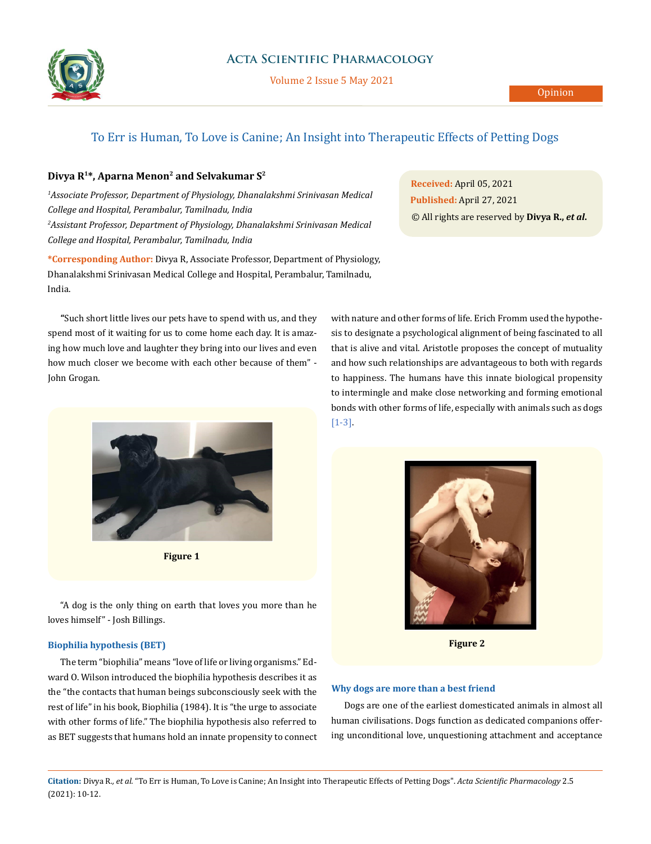

Volume 2 Issue 5 May 2021

# To Err is Human, To Love is Canine; An Insight into Therapeutic Effects of Petting Dogs

## **Divya R1\*, Aparna Menon2 and Selvakumar S2**

*1 Associate Professor, Department of Physiology, Dhanalakshmi Srinivasan Medical College and Hospital, Perambalur, Tamilnadu, India 2 Assistant Professor, Department of Physiology, Dhanalakshmi Srinivasan Medical College and Hospital, Perambalur, Tamilnadu, India*

**\*Corresponding Author:** Divya R, Associate Professor, Department of Physiology, Dhanalakshmi Srinivasan Medical College and Hospital, Perambalur, Tamilnadu, India.

**"**Such short little lives our pets have to spend with us, and they spend most of it waiting for us to come home each day. It is amazing how much love and laughter they bring into our lives and even how much closer we become with each other because of them" - John Grogan.



**Figure 1**

"A dog is the only thing on earth that loves you more than he loves himself" - Josh Billings.

## **Biophilia hypothesis (BET)**

The term "biophilia" means "love of life or living organisms." [Ed](https://en.wikipedia.org/wiki/E._O._Wilson)[ward O. Wilson](https://en.wikipedia.org/wiki/E._O._Wilson) introduced the biophilia hypothesis describes it as the "the contacts that human beings subconsciously seek with the rest of life" in his book, Biophilia (1984). It is "the urge to associate with other forms of life." The biophilia hypothesis also referred to as BET suggests that humans hold an innate propensity to connect

**Received:** April 05, 2021 **Published:** April 27, 2021 © All rights are reserved by **Divya R.,** *et al***.**

with [nature](https://en.wikipedia.org/wiki/Nature) and other forms of life. [Erich Fromm](https://en.wikipedia.org/wiki/Erich_Fromm) used the hypothesis to designate a [psychological alignment](https://en.wikipedia.org/wiki/Erich_Fromm) of being fascinated to all that is alive and vital. Aristotle proposes the concept of mutuality and how such relationships are advantageous to both with regards to happiness. The humans have this innate biological propensity to intermingle and make close networking and forming emotional bonds with other forms of life, especially with animals such as dogs [1-3].



**Figure 2**

### **Why dogs are more than a best friend**

Dogs are one of the earliest domesticated animals in almost all human civilisations. Dogs function as dedicated companions offering unconditional love, unquestioning attachment and acceptance

**Citation:** Divya R*., et al.* "To Err is Human, To Love is Canine; An Insight into Therapeutic Effects of Petting Dogs". *Acta Scientific Pharmacology* 2.5 (2021): 10-12.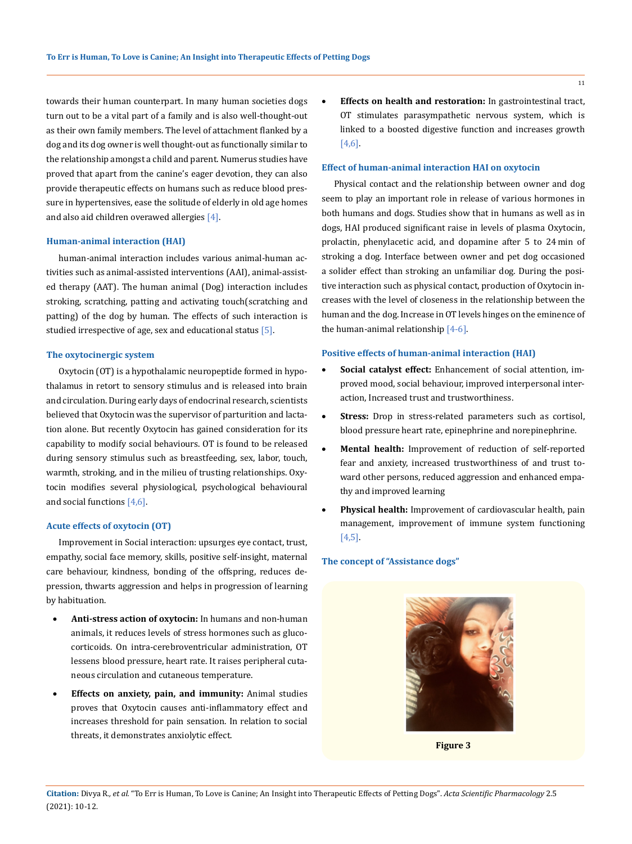towards their human counterpart. In many human societies dogs turn out to be a vital part of a family and is also well-thought-out as their own family members. The level of attachment flanked by a dog and its dog owner is well thought-out as functionally similar to the relationship amongst a child and parent. Numerus studies have proved that apart from the canine's eager devotion, they can also provide therapeutic effects on humans such as reduce blood pressure in hypertensives, ease the solitude of elderly in old age homes and also aid children overawed allergies [4].

#### **Human-animal interaction (HAI)**

human-animal interaction includes various animal-human activities such as animal-assisted interventions (AAI), animal-assisted therapy (AAT). The human animal (Dog) interaction includes stroking, scratching, patting and activating touch(scratching and patting) of the dog by human. The effects of such interaction is studied irrespective of age, sex and educational status [5].

## **The oxytocinergic system**

Oxytocin (OT) is a hypothalamic neuropeptide formed in hypothalamus in retort to sensory stimulus and is released into brain and circulation. During early days of endocrinal research, scientists believed that Oxytocin was the supervisor of parturition and lactation alone. But recently Oxytocin has gained consideration for its capability to modify social behaviours. OT is found to be released during sensory stimulus such as breastfeeding, sex, labor, touch, warmth, stroking, and in the milieu of trusting relationships. Oxytocin modifies several physiological, psychological behavioural and social functions [4,6].

## **Acute effects of oxytocin (OT)**

Improvement in Social interaction: upsurges eye contact, trust, empathy, social face memory, skills, positive self-insight, maternal care behaviour, kindness, bonding of the offspring, reduces depression, thwarts aggression and helps in progression of learning by habituation.

- Anti-stress action of oxytocin: In humans and non-human animals, it reduces levels of stress hormones such as glucocorticoids. On intra-cerebroventricular administration, OT lessens blood pressure, heart rate. It raises peripheral cutaneous circulation and cutaneous temperature.
- **Effects on anxiety, pain, and immunity:** Animal studies proves that Oxytocin causes anti-inflammatory effect and increases threshold for pain sensation. In relation to social threats, it demonstrates anxiolytic effect.

**Effects on health and restoration:** In gastrointestinal tract, OT stimulates parasympathetic nervous system, which is linked to a boosted digestive function and increases growth [4,6].

#### **Effect of human-animal interaction HAI on oxytocin**

Physical contact and the relationship between owner and dog seem to play an important role in release of various hormones in both humans and dogs. Studies show that in humans as well as in dogs, HAI produced significant raise in levels of plasma Oxytocin, prolactin, phenylacetic acid, and dopamine after 5 to 24 min of stroking a dog. Interface between owner and pet dog occasioned a solider effect than stroking an unfamiliar dog. During the positive interaction such as physical contact, production of Oxytocin increases with the level of closeness in the relationship between the human and the dog. Increase in OT levels hinges on the eminence of the human-animal relationship [4-6].

#### **Positive effects of human-animal interaction (HAI)**

- Social catalyst effect: Enhancement of social attention, improved mood, social behaviour, improved interpersonal interaction, Increased trust and trustworthiness.
- **Stress:** Drop in stress-related parameters such as cortisol, blood pressure heart rate, epinephrine and norepinephrine.
- **Mental health:** Improvement of reduction of self-reported fear and anxiety, increased trustworthiness of and trust toward other persons, reduced aggression and enhanced empathy and improved learning
- Physical health: Improvement of cardiovascular health, pain management, improvement of immune system functioning [4,5].

## **The concept of "Assistance dogs"**



**Figure 3**